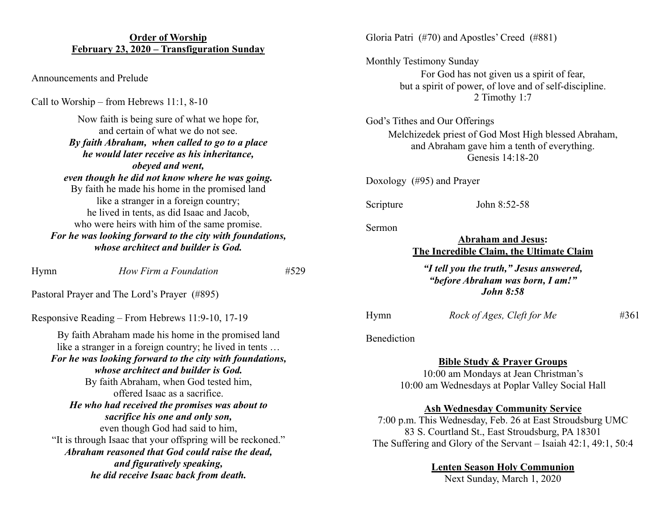## **Order of Worship February 23, 2020 – Transfiguration Sunday**

Announcements and Prelude

Call to Worship – from Hebrews 11:1, 8-10

Now faith is being sure of what we hope for, and certain of what we do not see. *By faith Abraham, when called to go to a place he would later receive as his inheritance, obeyed and went, even though he did not know where he was going.* By faith he made his home in the promised land like a stranger in a foreign country; he lived in tents, as did Isaac and Jacob, who were heirs with him of the same promise. *For he was looking forward to the city with foundations, whose architect and builder is God.*

Hymn *How Firm a Foundation* #529

Pastoral Prayer and The Lord's Prayer (#895)

Responsive Reading – From Hebrews 11:9-10, 17-19

By faith Abraham made his home in the promised land like a stranger in a foreign country; he lived in tents … *For he was looking forward to the city with foundations, whose architect and builder is God.* By faith Abraham, when God tested him, offered Isaac as a sacrifice. *He who had received the promises was about to sacrifice his one and only son,* even though God had said to him, "It is through Isaac that your offspring will be reckoned." *Abraham reasoned that God could raise the dead, and figuratively speaking, he did receive Isaac back from death.*

Gloria Patri (#70) and Apostles' Creed (#881)

Monthly Testimony Sunday For God has not given us a spirit of fear, but a spirit of power, of love and of self-discipline. 2 Timothy 1:7

God's Tithes and Our Offerings Melchizedek priest of God Most High blessed Abraham, and Abraham gave him a tenth of everything. Genesis 14:18-20

Doxology (#95) and Prayer

Scripture John 8:52-58

Sermon

## **Abraham and Jesus: The Incredible Claim, the Ultimate Claim**

*"I tell you the truth," Jesus answered, "before Abraham was born, I am!" John 8:58*

Hymn *Rock of Ages, Cleft for Me* #361

Benediction

**Bible Study & Prayer Groups**

10:00 am Mondays at Jean Christman's 10:00 am Wednesdays at Poplar Valley Social Hall

**Ash Wednesday Community Service**

7:00 p.m. This Wednesday, Feb. 26 at East Stroudsburg UMC 83 S. Courtland St., East Stroudsburg, PA 18301 The Suffering and Glory of the Servant – Isaiah 42:1, 49:1, 50:4

## **Lenten Season Holy Communion**

Next Sunday, March 1, 2020